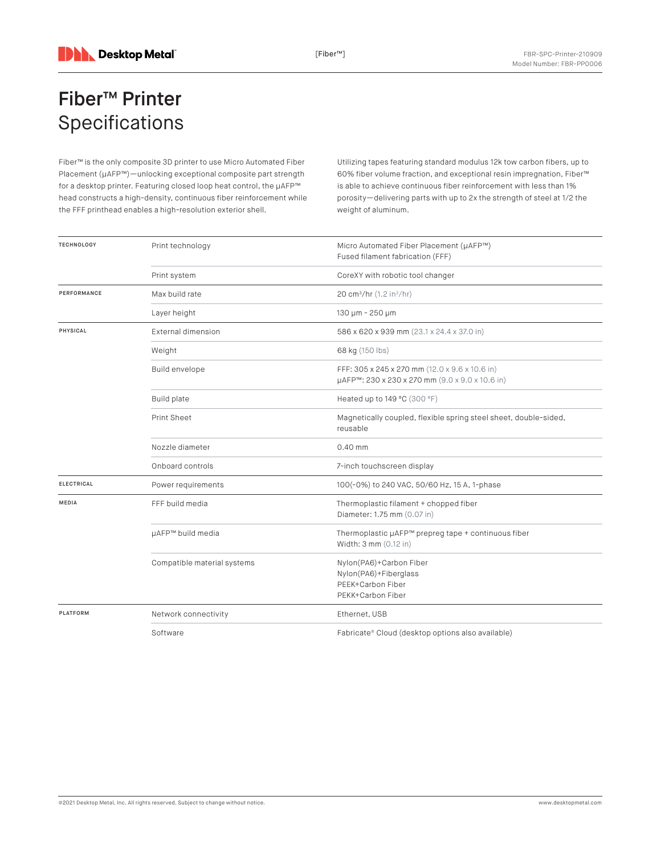## Fiber™ Printer Specifications

Fiber™ is the only composite 3D printer to use Micro Automated Fiber Placement (μAFP™)—unlocking exceptional composite part strength for a desktop printer. Featuring closed loop heat control, the µAFP™ head constructs a high-density, continuous fiber reinforcement while the FFF printhead enables a high-resolution exterior shell.

Utilizing tapes featuring standard modulus 12k tow carbon fibers, up to 60% fiber volume fraction, and exceptional resin impregnation, Fiber™ is able to achieve continuous fiber reinforcement with less than 1% porosity—delivering parts with up to 2x the strength of steel at 1/2 the weight of aluminum.

| <b>TECHNOLOGY</b> | Print technology            | Micro Automated Fiber Placement (µAFP™)<br>Fused filament fabrication (FFF)                       |
|-------------------|-----------------------------|---------------------------------------------------------------------------------------------------|
|                   | Print system                | CoreXY with robotic tool changer                                                                  |
| PERFORMANCE       | Max build rate              | 20 cm <sup>3</sup> /hr (1.2 in <sup>3</sup> /hr)                                                  |
|                   | Layer height                | 130 µm - 250 µm                                                                                   |
| PHYSICAL          | External dimension          | 586 x 620 x 939 mm (23.1 x 24.4 x 37.0 in)                                                        |
|                   | Weight                      | 68 kg (150 lbs)                                                                                   |
|                   | Build envelope              | FFF: 305 x 245 x 270 mm (12.0 x 9.6 x 10.6 in)<br>µAFP™: 230 x 230 x 270 mm (9.0 x 9.0 x 10.6 in) |
|                   | <b>Build plate</b>          | Heated up to 149 °C (300 °F)                                                                      |
|                   | <b>Print Sheet</b>          | Magnetically coupled, flexible spring steel sheet, double-sided,<br>reusable                      |
|                   | Nozzle diameter             | $0.40$ mm                                                                                         |
|                   | Onboard controls            | 7-inch touchscreen display                                                                        |
| <b>ELECTRICAL</b> | Power requirements          | 100(-0%) to 240 VAC, 50/60 Hz, 15 A, 1-phase                                                      |
| <b>MEDIA</b>      | FFF build media             | Thermoplastic filament + chopped fiber<br>Diameter: 1.75 mm (0.07 in)                             |
|                   | µAFP™ build media           | Thermoplastic µAFP™ prepreg tape + continuous fiber<br>Width: 3 mm (0.12 in)                      |
|                   | Compatible material systems | Nylon(PA6)+Carbon Fiber<br>Nylon(PA6)+Fiberglass<br>PEEK+Carbon Fiber<br>PEKK+Carbon Fiber        |
| <b>PLATFORM</b>   | Network connectivity        | Ethernet, USB                                                                                     |
|                   | Software                    | Fabricate® Cloud (desktop options also available)                                                 |